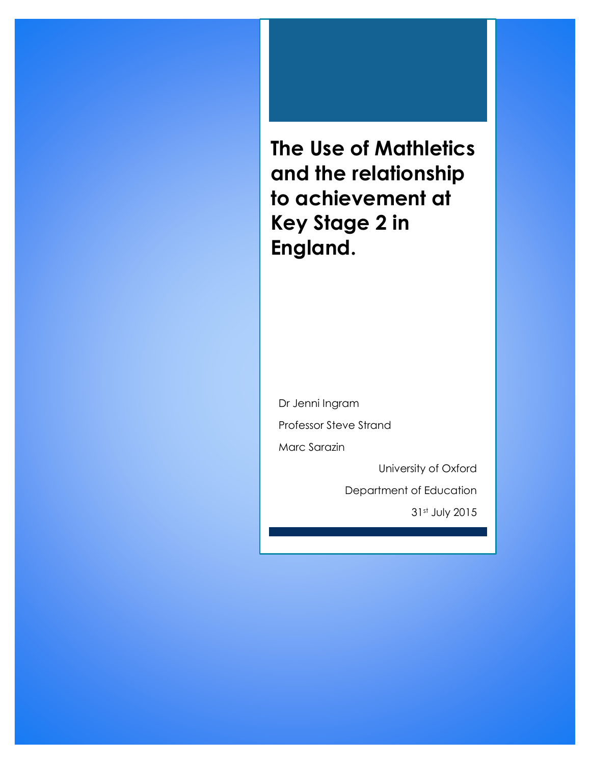**The Use of Mathletics and the relationship to achievement at Key Stage 2 in England.**

Dr Jenni Ingram Professor Steve Strand Marc Sarazin

University of Oxford

Department of Education

31st July 2015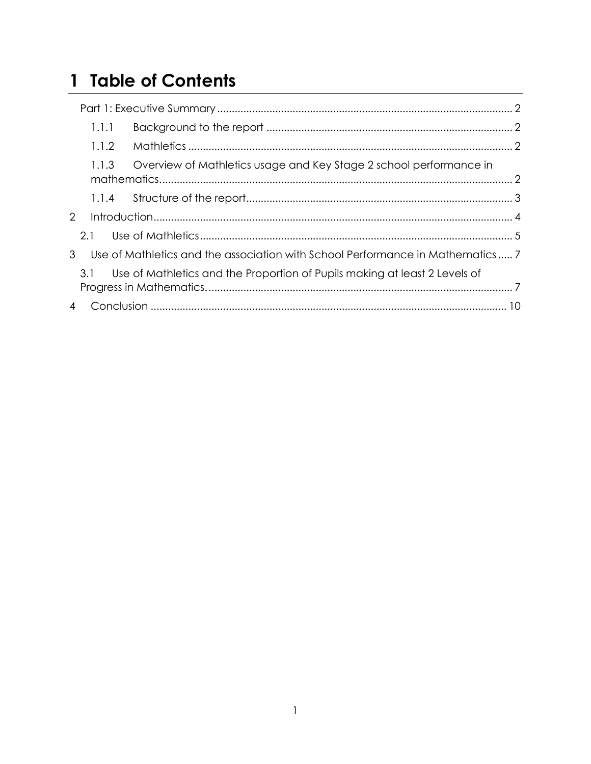# 1 Table of Contents

| 1.1.1        |                                                                                |  |
|--------------|--------------------------------------------------------------------------------|--|
| 1.1.2        |                                                                                |  |
| 1.1.3        | Overview of Mathletics usage and Key Stage 2 school performance in             |  |
|              |                                                                                |  |
| $\mathbf{2}$ |                                                                                |  |
| 2.1          |                                                                                |  |
| 3            | Use of Mathletics and the association with School Performance in Mathematics 7 |  |
| 3.1          | Use of Mathletics and the Proportion of Pupils making at least 2 Levels of     |  |
|              |                                                                                |  |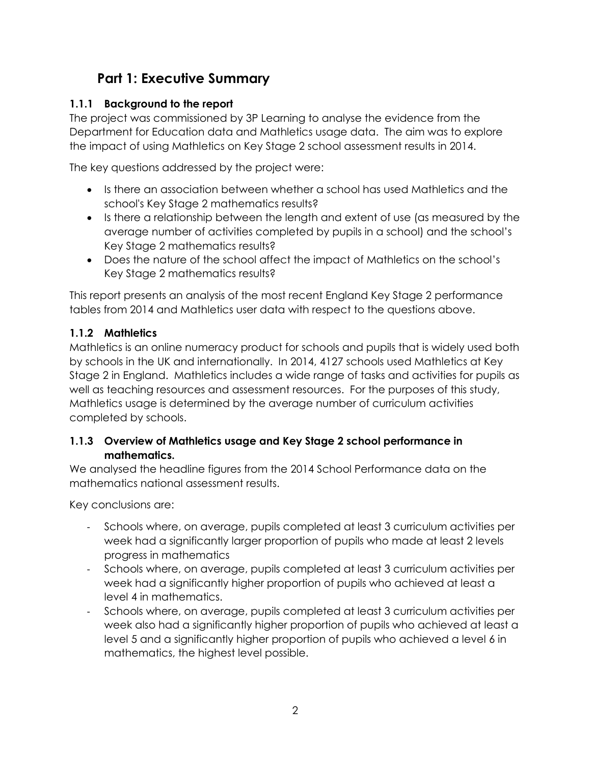### **Part 1: Executive Summary**

#### <span id="page-2-1"></span><span id="page-2-0"></span>**1.1.1 Background to the report**

The project was commissioned by 3P Learning to analyse the evidence from the Department for Education data and Mathletics usage data. The aim was to explore the impact of using Mathletics on Key Stage 2 school assessment results in 2014.

The key questions addressed by the project were:

- Is there an association between whether a school has used Mathletics and the school's Key Stage 2 mathematics results?
- Is there a relationship between the length and extent of use (as measured by the average number of activities completed by pupils in a school) and the school's Key Stage 2 mathematics results?
- Does the nature of the school affect the impact of Mathletics on the school's Key Stage 2 mathematics results?

This report presents an analysis of the most recent England Key Stage 2 performance tables from 2014 and Mathletics user data with respect to the questions above.

#### <span id="page-2-2"></span>**1.1.2 Mathletics**

Mathletics is an online numeracy product for schools and pupils that is widely used both by schools in the UK and internationally. In 2014, 4127 schools used Mathletics at Key Stage 2 in England. Mathletics includes a wide range of tasks and activities for pupils as well as teaching resources and assessment resources. For the purposes of this study, Mathletics usage is determined by the average number of curriculum activities completed by schools.

#### <span id="page-2-3"></span>**1.1.3 Overview of Mathletics usage and Key Stage 2 school performance in mathematics.**

We analysed the headline figures from the 2014 School Performance data on the mathematics national assessment results.

Key conclusions are:

- Schools where, on average, pupils completed at least 3 curriculum activities per week had a significantly larger proportion of pupils who made at least 2 levels progress in mathematics
- Schools where, on average, pupils completed at least 3 curriculum activities per week had a significantly higher proportion of pupils who achieved at least a level 4 in mathematics.
- Schools where, on average, pupils completed at least 3 curriculum activities per week also had a significantly higher proportion of pupils who achieved at least a level 5 and a significantly higher proportion of pupils who achieved a level 6 in mathematics, the highest level possible.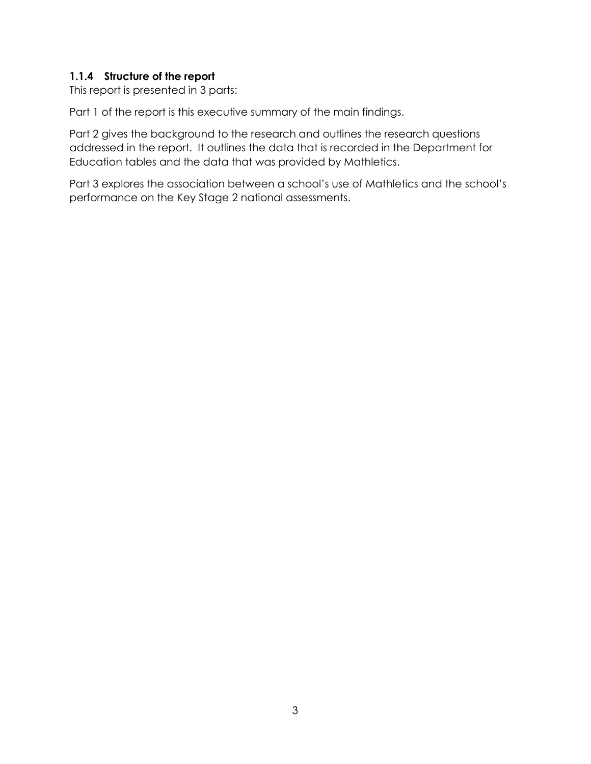#### <span id="page-3-0"></span>**1.1.4 Structure of the report**

This report is presented in 3 parts:

Part 1 of the report is this executive summary of the main findings.

Part 2 gives the background to the research and outlines the research questions addressed in the report. It outlines the data that is recorded in the Department for Education tables and the data that was provided by Mathletics.

Part 3 explores the association between a school's use of Mathletics and the school's performance on the Key Stage 2 national assessments.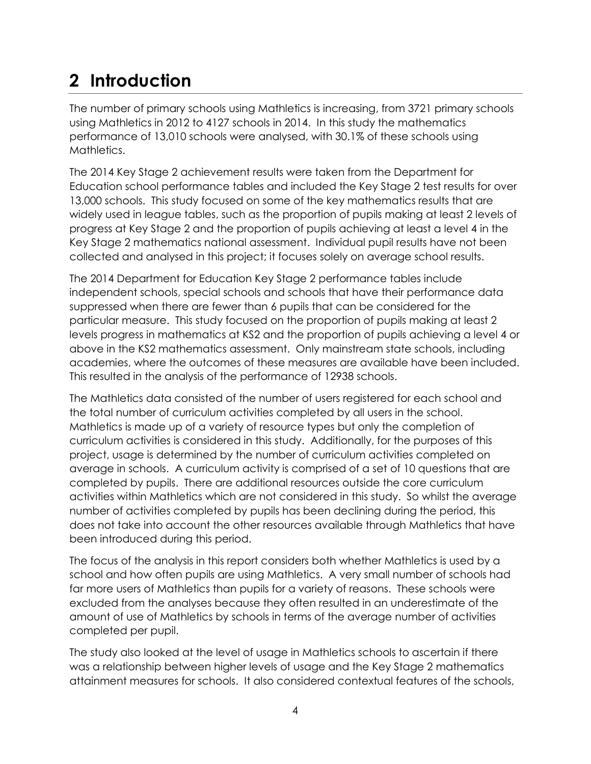## <span id="page-4-0"></span>**2 Introduction**

The number of primary schools using Mathletics is increasing, from 3721 primary schools using Mathletics in 2012 to 4127 schools in 2014. In this study the mathematics performance of 13,010 schools were analysed, with 30.1% of these schools using Mathletics.

The 2014 Key Stage 2 achievement results were taken from the Department for Education school performance tables and included the Key Stage 2 test results for over 13,000 schools. This study focused on some of the key mathematics results that are widely used in league tables, such as the proportion of pupils making at least 2 levels of progress at Key Stage 2 and the proportion of pupils achieving at least a level 4 in the Key Stage 2 mathematics national assessment. Individual pupil results have not been collected and analysed in this project; it focuses solely on average school results.

The 2014 Department for Education Key Stage 2 performance tables include independent schools, special schools and schools that have their performance data suppressed when there are fewer than 6 pupils that can be considered for the particular measure. This study focused on the proportion of pupils making at least 2 levels progress in mathematics at KS2 and the proportion of pupils achieving a level 4 or above in the KS2 mathematics assessment. Only mainstream state schools, including academies, where the outcomes of these measures are available have been included. This resulted in the analysis of the performance of 12938 schools.

The Mathletics data consisted of the number of users registered for each school and the total number of curriculum activities completed by all users in the school. Mathletics is made up of a variety of resource types but only the completion of curriculum activities is considered in this study. Additionally, for the purposes of this project, usage is determined by the number of curriculum activities completed on average in schools. A curriculum activity is comprised of a set of 10 questions that are completed by pupils. There are additional resources outside the core curriculum activities within Mathletics which are not considered in this study. So whilst the average number of activities completed by pupils has been declining during the period, this does not take into account the other resources available through Mathletics that have been introduced during this period.

The focus of the analysis in this report considers both whether Mathletics is used by a school and how often pupils are using Mathletics. A very small number of schools had far more users of Mathletics than pupils for a variety of reasons. These schools were excluded from the analyses because they often resulted in an underestimate of the amount of use of Mathletics by schools in terms of the average number of activities completed per pupil.

The study also looked at the level of usage in Mathletics schools to ascertain if there was a relationship between higher levels of usage and the Key Stage 2 mathematics attainment measures for schools. It also considered contextual features of the schools,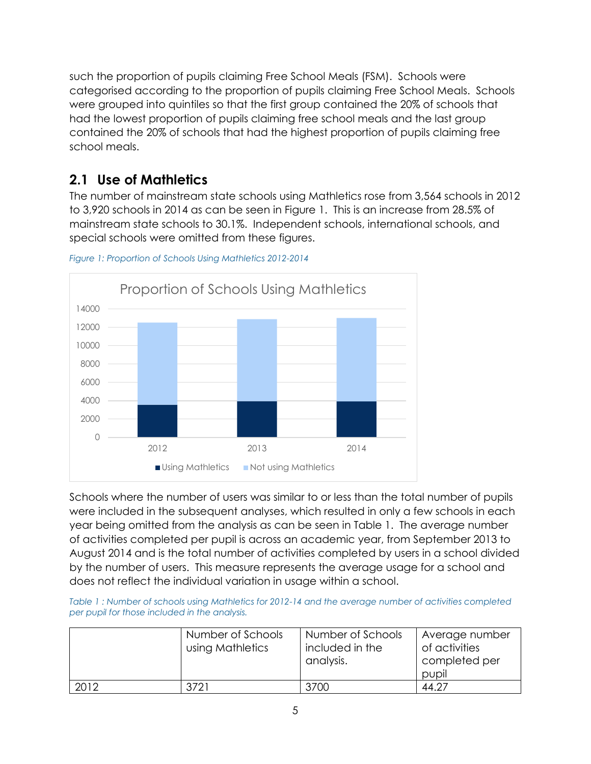such the proportion of pupils claiming Free School Meals (FSM). Schools were categorised according to the proportion of pupils claiming Free School Meals. Schools were grouped into quintiles so that the first group contained the 20% of schools that had the lowest proportion of pupils claiming free school meals and the last group contained the 20% of schools that had the highest proportion of pupils claiming free school meals.

### <span id="page-5-0"></span>**2.1 Use of Mathletics**

The number of mainstream state schools using Mathletics rose from 3,564 schools in 2012 to 3,920 schools in 2014 as can be seen in [Figure 1.](#page-5-1) This is an increase from 28.5% of mainstream state schools to 30.1%. Independent schools, international schools, and special schools were omitted from these figures.



<span id="page-5-1"></span>*Figure 1: Proportion of Schools Using Mathletics 2012-2014*

Schools where the number of users was similar to or less than the total number of pupils were included in the subsequent analyses, which resulted in only a few schools in each year being omitted from the analysis as can be seen in [Table 1.](#page-5-2) The average number of activities completed per pupil is across an academic year, from September 2013 to August 2014 and is the total number of activities completed by users in a school divided by the number of users. This measure represents the average usage for a school and does not reflect the individual variation in usage within a school.

<span id="page-5-2"></span>*Table 1 : Number of schools using Mathletics for 2012-14 and the average number of activities completed per pupil for those included in the analysis.*

|      | Number of Schools<br>using Mathletics | Number of Schools<br>included in the<br>analysis. | Average number<br>of activities<br>completed per<br>pupil |
|------|---------------------------------------|---------------------------------------------------|-----------------------------------------------------------|
| 2012 | 3721                                  | 3700                                              | 44.27                                                     |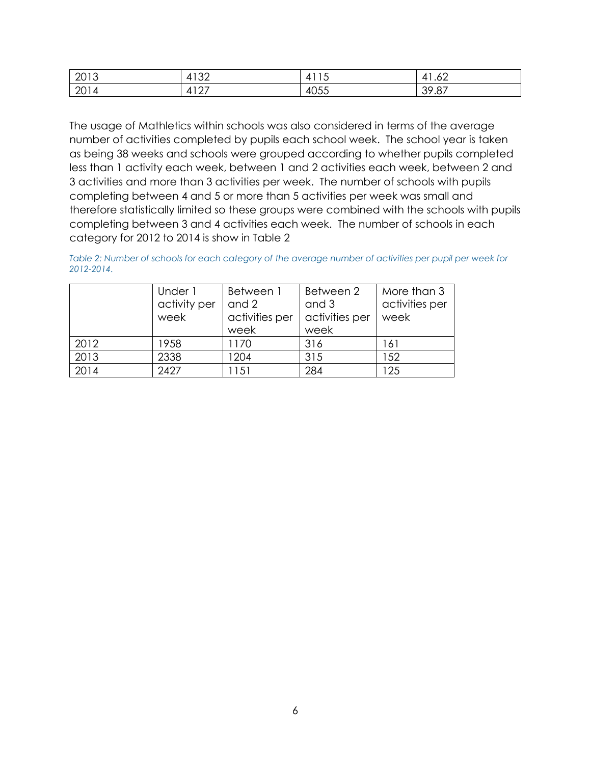| 2012<br>ZU I<br>┙י | $1 \cap C$<br>$\Delta$<br>◡∠ | $\sim$ $\sim$<br>4    | $\overline{\phantom{a}}$<br>4<br>.uz |
|--------------------|------------------------------|-----------------------|--------------------------------------|
| $\bigcap$ 1<br>ZU. | 107<br>◢<br>∸                | $\sim$ $ -$<br>- 405. | $\sim$ $\rightarrow$<br>,,,,         |

The usage of Mathletics within schools was also considered in terms of the average number of activities completed by pupils each school week. The school year is taken as being 38 weeks and schools were grouped according to whether pupils completed less than 1 activity each week, between 1 and 2 activities each week, between 2 and 3 activities and more than 3 activities per week. The number of schools with pupils completing between 4 and 5 or more than 5 activities per week was small and therefore statistically limited so these groups were combined with the schools with pupils completing between 3 and 4 activities each week. The number of schools in each category for 2012 to 2014 is show in [Table 2](#page-6-0)

<span id="page-6-0"></span>*Table 2: Number of schools for each category of the average number of activities per pupil per week for 2012-2014.* 

|      | Under 1      | Between 1      | Between 2      | More than 3    |
|------|--------------|----------------|----------------|----------------|
|      | activity per | and 2          | and 3          | activities per |
|      | week         | activities per | activities per | week           |
|      |              | week           | week           |                |
| 2012 | 1958         | 1170           | 316            | 161            |
| 2013 | 2338         | 1204           | 315            | 152            |
| 2014 | 2427         | 151            | 284            | 125            |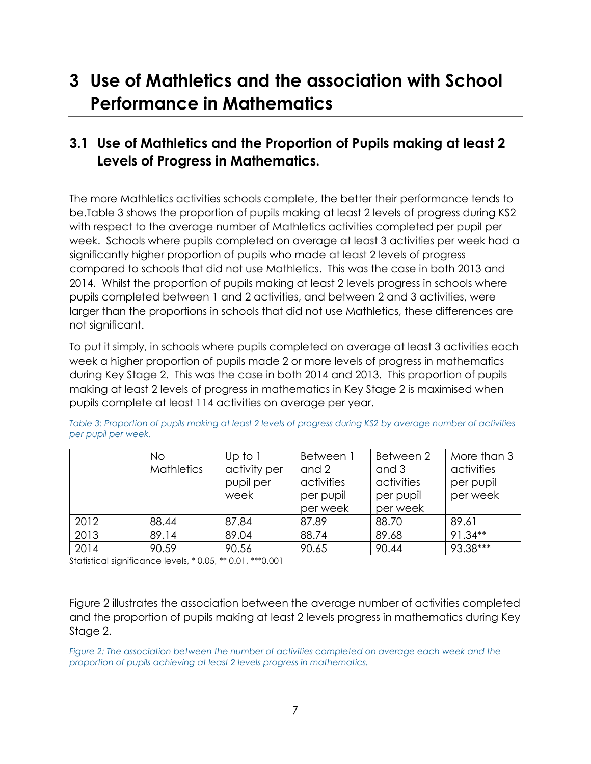### <span id="page-7-0"></span>**3 Use of Mathletics and the association with School Performance in Mathematics**

### <span id="page-7-1"></span>**3.1 Use of Mathletics and the Proportion of Pupils making at least 2 Levels of Progress in Mathematics.**

The more Mathletics activities schools complete, the better their performance tends to be[.Table 3](#page-7-2) shows the proportion of pupils making at least 2 levels of progress during KS2 with respect to the average number of Mathletics activities completed per pupil per week. Schools where pupils completed on average at least 3 activities per week had a significantly higher proportion of pupils who made at least 2 levels of progress compared to schools that did not use Mathletics. This was the case in both 2013 and 2014. Whilst the proportion of pupils making at least 2 levels progress in schools where pupils completed between 1 and 2 activities, and between 2 and 3 activities, were larger than the proportions in schools that did not use Mathletics, these differences are not significant.

To put it simply, in schools where pupils completed on average at least 3 activities each week a higher proportion of pupils made 2 or more levels of progress in mathematics during Key Stage 2. This was the case in both 2014 and 2013. This proportion of pupils making at least 2 levels of progress in mathematics in Key Stage 2 is maximised when pupils complete at least 114 activities on average per year.

|      | <b>No</b><br><b>Mathletics</b> | Up to $1$<br>activity per<br>pupil per<br>week | Between 1<br>and 2<br>activities<br>per pupil<br>per week | Between 2<br>and 3<br>activities<br>per pupil<br>per week | More than 3<br>activities<br>per pupil<br>per week |
|------|--------------------------------|------------------------------------------------|-----------------------------------------------------------|-----------------------------------------------------------|----------------------------------------------------|
| 2012 | 88.44                          | 87.84                                          | 87.89                                                     | 88.70                                                     | 89.61                                              |
| 2013 | 89.14                          | 89.04                                          | 88.74                                                     | 89.68                                                     | $91.34**$                                          |
| 2014 | 90.59                          | 90.56                                          | 90.65                                                     | 90.44                                                     | 93.38***                                           |

<span id="page-7-2"></span>*Table 3: Proportion of pupils making at least 2 levels of progress during KS2 by average number of activities per pupil per week.*

Statistical significance levels, \* 0.05, \*\* 0.01, \*\*\*0.001

[Figure 2](#page-7-3) illustrates the association between the average number of activities completed and the proportion of pupils making at least 2 levels progress in mathematics during Key Stage 2.

<span id="page-7-3"></span>*Figure 2: The association between the number of activities completed on average each week and the proportion of pupils achieving at least 2 levels progress in mathematics.*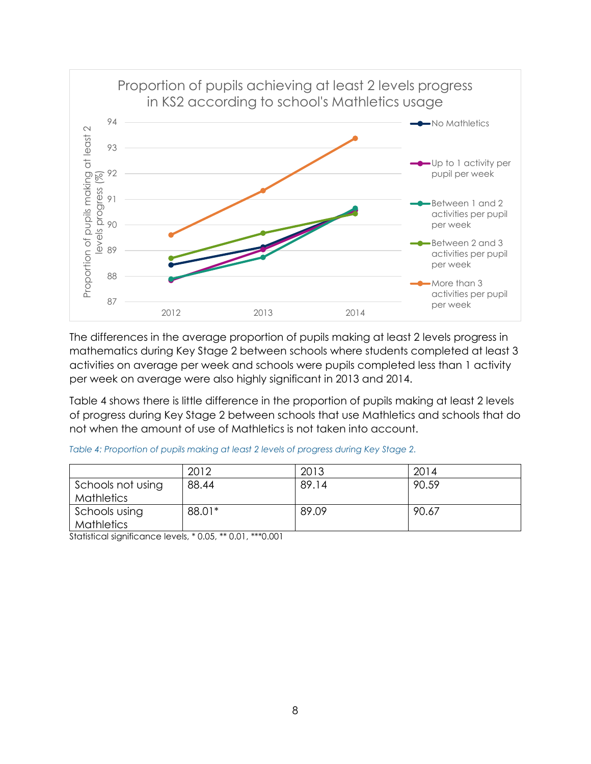

The differences in the average proportion of pupils making at least 2 levels progress in mathematics during Key Stage 2 between schools where students completed at least 3 activities on average per week and schools were pupils completed less than 1 activity per week on average were also highly significant in 2013 and 2014.

Table 4 shows there is little difference in the proportion of pupils making at least 2 levels of progress during Key Stage 2 between schools that use Mathletics and schools that do not when the amount of use of Mathletics is not taken into account.

|                                        | 2012   | 2013  | 2014  |
|----------------------------------------|--------|-------|-------|
| Schools not using<br><b>Mathletics</b> | 88.44  | 89.14 | 90.59 |
| Schools using<br><b>Mathletics</b>     | 88.01* | 89.09 | 90.67 |

*Table 4: Proportion of pupils making at least 2 levels of progress during Key Stage 2.*

Statistical significance levels, \* 0.05, \*\* 0.01, \*\*\*0.001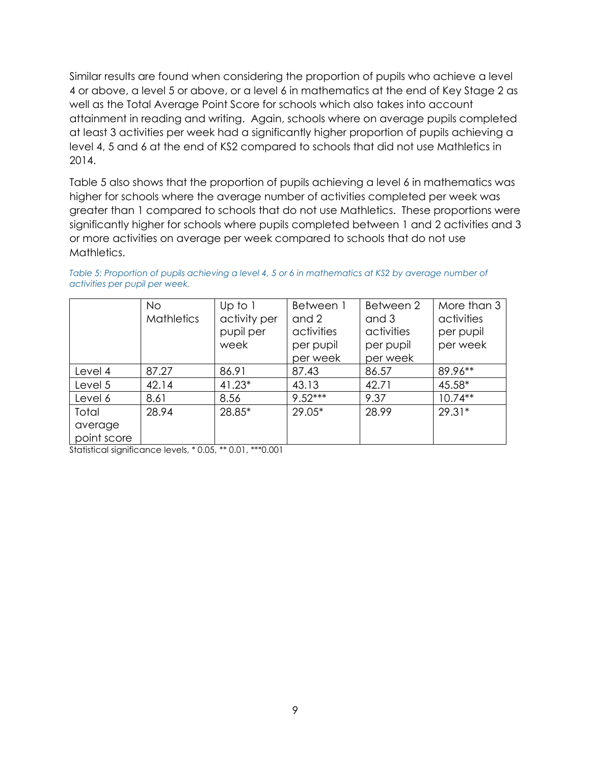Similar results are found when considering the proportion of pupils who achieve a level 4 or above, a level 5 or above, or a level 6 in mathematics at the end of Key Stage 2 as well as the Total Average Point Score for schools which also takes into account attainment in reading and writing. Again, schools where on average pupils completed at least 3 activities per week had a significantly higher proportion of pupils achieving a level 4, 5 and 6 at the end of KS2 compared to schools that did not use Mathletics in 2014.

[Table 5](#page-9-0) also shows that the proportion of pupils achieving a level 6 in mathematics was higher for schools where the average number of activities completed per week was greater than 1 compared to schools that do not use Mathletics. These proportions were significantly higher for schools where pupils completed between 1 and 2 activities and 3 or more activities on average per week compared to schools that do not use Mathletics.

|             | <b>No</b>         | Up to $1$    | Between 1  | Between 2  | More than 3 |
|-------------|-------------------|--------------|------------|------------|-------------|
|             | <b>Mathletics</b> | activity per | and 2      | and 3      | activities  |
|             |                   | pupil per    | activities | activities | per pupil   |
|             |                   | week         | per pupil  | per pupil  | per week    |
|             |                   |              | per week   | per week   |             |
| Level 4     | 87.27             | 86.91        | 87.43      | 86.57      | 89.96**     |
| Level 5     | 42.14             | $41.23*$     | 43.13      | 42.71      | 45.58*      |
| Level 6     | 8.61              | 8.56         | $9.52***$  | 9.37       | $10.74**$   |
| Total       | 28.94             | 28.85*       | $29.05*$   | 28.99      | $29.31*$    |
| average     |                   |              |            |            |             |
| point score |                   |              |            |            |             |

<span id="page-9-0"></span>*Table 5: Proportion of pupils achieving a level 4, 5 or 6 in mathematics at KS2 by average number of activities per pupil per week.*

Statistical significance levels, \* 0.05, \*\* 0.01, \*\*\*0.001